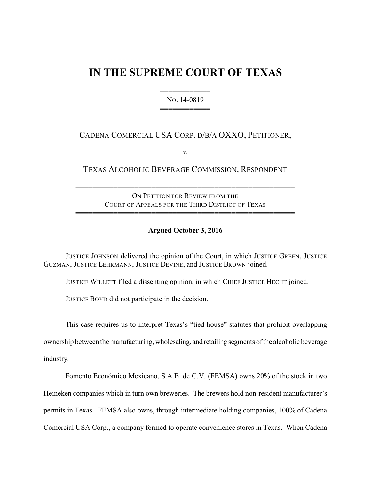# **IN THE SUPREME COURT OF TEXAS**

444444444444 NO. 14-0819 444444444444

CADENA COMERCIAL USA CORP. D/B/A OXXO, PETITIONER,

v.

TEXAS ALCOHOLIC BEVERAGE COMMISSION, RESPONDENT

ON PETITION FOR REVIEW FROM THE COURT OF APPEALS FOR THE THIRD DISTRICT OF TEXAS 4444444444444444444444444444444444444444444444444444

4444444444444444444444444444444444444444444444444444

## **Argued October 3, 2016**

JUSTICE JOHNSON delivered the opinion of the Court, in which JUSTICE GREEN, JUSTICE GUZMAN, JUSTICE LEHRMANN, JUSTICE DEVINE, and JUSTICE BROWN joined.

JUSTICE WILLETT filed a dissenting opinion, in which CHIEF JUSTICE HECHT joined.

JUSTICE BOYD did not participate in the decision.

This case requires us to interpret Texas's "tied house" statutes that prohibit overlapping

ownership between the manufacturing, wholesaling, and retailing segments of the alcoholic beverage industry.

Fomento Económico Mexicano, S.A.B. de C.V. (FEMSA) owns 20% of the stock in two Heineken companies which in turn own breweries. The brewers hold non-resident manufacturer's permits in Texas. FEMSA also owns, through intermediate holding companies, 100% of Cadena Comercial USA Corp., a company formed to operate convenience stores in Texas. When Cadena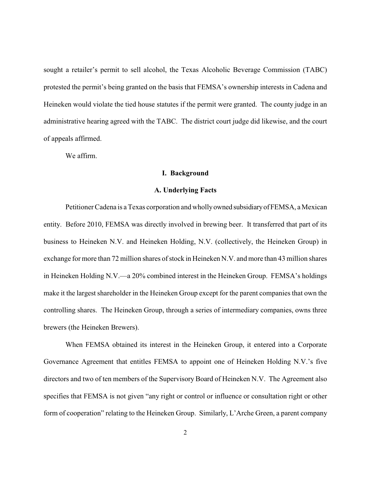sought a retailer's permit to sell alcohol, the Texas Alcoholic Beverage Commission (TABC) protested the permit's being granted on the basis that FEMSA's ownership interests in Cadena and Heineken would violate the tied house statutes if the permit were granted. The county judge in an administrative hearing agreed with the TABC. The district court judge did likewise, and the court of appeals affirmed.

We affirm.

## **I. Background**

### **A. Underlying Facts**

Petitioner Cadena is a Texas corporation and whollyowned subsidiaryofFEMSA, a Mexican entity. Before 2010, FEMSA was directly involved in brewing beer. It transferred that part of its business to Heineken N.V. and Heineken Holding, N.V. (collectively, the Heineken Group) in exchange for more than 72 million shares of stock in Heineken N.V. and more than 43 million shares in Heineken Holding N.V.—a 20% combined interest in the Heineken Group. FEMSA's holdings make it the largest shareholder in the Heineken Group except for the parent companies that own the controlling shares. The Heineken Group, through a series of intermediary companies, owns three brewers (the Heineken Brewers).

When FEMSA obtained its interest in the Heineken Group, it entered into a Corporate Governance Agreement that entitles FEMSA to appoint one of Heineken Holding N.V.'s five directors and two of ten members of the Supervisory Board of Heineken N.V. The Agreement also specifies that FEMSA is not given "any right or control or influence or consultation right or other form of cooperation" relating to the Heineken Group. Similarly, L'Arche Green, a parent company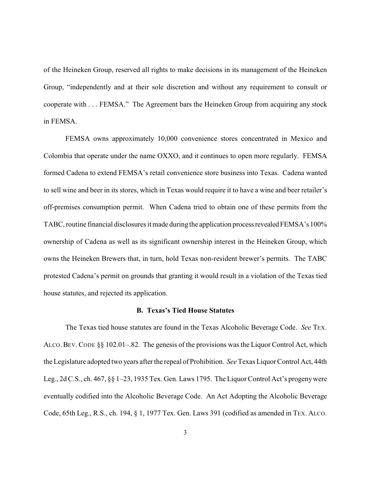of the Heineken Group, reserved all rights to make decisions in its management of the Heineken Group, "independently and at their sole discretion and without any requirement to consult or cooperate with . . . FEMSA." The Agreement bars the Heineken Group from acquiring any stock in FEMSA.

FEMSA owns approximately 10,000 convenience stores concentrated in Mexico and Colombia that operate under the name OXXO, and it continues to open more regularly. FEMSA formed Cadena to extend FEMSA's retail convenience store business into Texas. Cadena wanted to sell wine and beer in its stores, which in Texas would require it to have a wine and beer retailer's off-premises consumption permit. When Cadena tried to obtain one of these permits from the TABC, routine financial disclosures it made during the application processrevealed FEMSA's 100% ownership of Cadena as well as its significant ownership interest in the Heineken Group, which owns the Heineken Brewers that, in turn, hold Texas non-resident brewer's permits. The TABC protested Cadena's permit on grounds that granting it would result in a violation of the Texas tied house statutes, and rejected its application.

## **B. Texas's Tied House Statutes**

The Texas tied house statutes are found in the Texas Alcoholic Beverage Code. *See* TEX. ALCO.BEV.CODE §§ 102.01–.82. The genesis of the provisions was the Liquor Control Act, which the Legislature adopted two years after the repeal of Prohibition. *See*Texas Liquor Control Act, 44th Leg., 2d C.S., ch. 467, §§ 1–23, 1935 Tex. Gen. Laws 1795. The Liquor Control Act's progenywere eventually codified into the Alcoholic Beverage Code. An Act Adopting the Alcoholic Beverage Code, 65th Leg., R.S., ch. 194, § 1, 1977 Tex. Gen. Laws 391 (codified as amended in TEX. ALCO.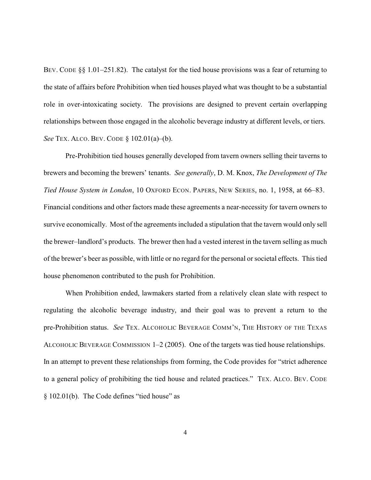BEV. CODE §§ 1.01–251.82). The catalyst for the tied house provisions was a fear of returning to the state of affairs before Prohibition when tied houses played what was thought to be a substantial role in over-intoxicating society. The provisions are designed to prevent certain overlapping relationships between those engaged in the alcoholic beverage industry at different levels, or tiers. *See* TEX. ALCO. BEV. CODE § 102.01(a)–(b).

Pre-Prohibition tied houses generally developed from tavern owners selling their taverns to brewers and becoming the brewers' tenants. *See generally*, D. M. Knox, *The Development of The Tied House System in London*, 10 OXFORD ECON. PAPERS, NEW SERIES, no. 1, 1958, at 66–83. Financial conditions and other factors made these agreements a near-necessity for tavern owners to survive economically. Most of the agreements included a stipulation that the tavern would only sell the brewer–landlord's products. The brewer then had a vested interest in the tavern selling as much of the brewer's beer as possible, with little or no regard for the personal or societal effects. This tied house phenomenon contributed to the push for Prohibition.

When Prohibition ended, lawmakers started from a relatively clean slate with respect to regulating the alcoholic beverage industry, and their goal was to prevent a return to the pre-Prohibition status. *See* TEX. ALCOHOLIC BEVERAGE COMM'N, THE HISTORY OF THE TEXAS ALCOHOLIC BEVERAGE COMMISSION 1–2 (2005). One of the targets was tied house relationships. In an attempt to prevent these relationships from forming, the Code provides for "strict adherence to a general policy of prohibiting the tied house and related practices." TEX. ALCO. BEV. CODE § 102.01(b). The Code defines "tied house" as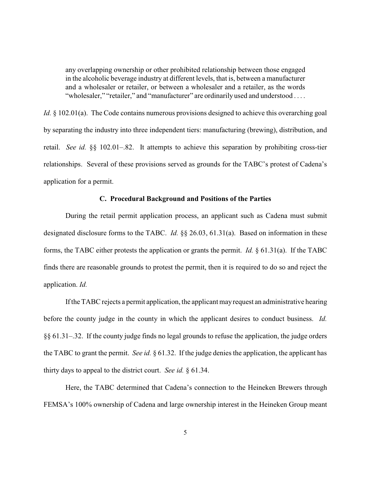any overlapping ownership or other prohibited relationship between those engaged in the alcoholic beverage industry at different levels, that is, between a manufacturer and a wholesaler or retailer, or between a wholesaler and a retailer, as the words "wholesaler," "retailer," and "manufacturer" are ordinarily used and understood ....

*Id.* § 102.01(a). The Code contains numerous provisions designed to achieve this overarching goal by separating the industry into three independent tiers: manufacturing (brewing), distribution, and retail. *See id.* §§ 102.01–.82. It attempts to achieve this separation by prohibiting cross-tier relationships. Several of these provisions served as grounds for the TABC's protest of Cadena's application for a permit.

## **C. Procedural Background and Positions of the Parties**

During the retail permit application process, an applicant such as Cadena must submit designated disclosure forms to the TABC. *Id.* §§ 26.03, 61.31(a). Based on information in these forms, the TABC either protests the application or grants the permit. *Id.* § 61.31(a). If the TABC finds there are reasonable grounds to protest the permit, then it is required to do so and reject the application. *Id.*

If the TABC rejects a permit application, the applicant mayrequest an administrative hearing before the county judge in the county in which the applicant desires to conduct business. *Id.* §§ 61.31–.32. If the county judge finds no legal grounds to refuse the application, the judge orders the TABC to grant the permit. *See id.* § 61.32. If the judge denies the application, the applicant has thirty days to appeal to the district court. *See id.* § 61.34.

Here, the TABC determined that Cadena's connection to the Heineken Brewers through FEMSA's 100% ownership of Cadena and large ownership interest in the Heineken Group meant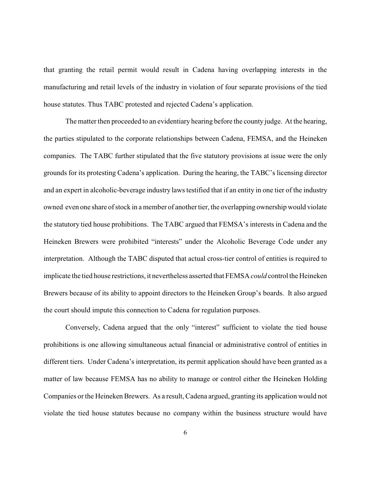that granting the retail permit would result in Cadena having overlapping interests in the manufacturing and retail levels of the industry in violation of four separate provisions of the tied house statutes. Thus TABC protested and rejected Cadena's application.

The matter then proceeded to an evidentiary hearing before the county judge. At the hearing, the parties stipulated to the corporate relationships between Cadena, FEMSA, and the Heineken companies. The TABC further stipulated that the five statutory provisions at issue were the only grounds for its protesting Cadena's application. During the hearing, the TABC's licensing director and an expert in alcoholic-beverage industry laws testified that if an entity in one tier of the industry owned even one share of stock in a member of another tier, the overlapping ownership would violate the statutory tied house prohibitions. The TABC argued that FEMSA's interests in Cadena and the Heineken Brewers were prohibited "interests" under the Alcoholic Beverage Code under any interpretation. Although the TABC disputed that actual cross-tier control of entities is required to implicate the tied house restrictions, it nevertheless asserted that FEMSA *could* control the Heineken Brewers because of its ability to appoint directors to the Heineken Group's boards. It also argued the court should impute this connection to Cadena for regulation purposes.

Conversely, Cadena argued that the only "interest" sufficient to violate the tied house prohibitions is one allowing simultaneous actual financial or administrative control of entities in different tiers. Under Cadena's interpretation, its permit application should have been granted as a matter of law because FEMSA has no ability to manage or control either the Heineken Holding Companies or the Heineken Brewers. As a result, Cadena argued, granting its application would not violate the tied house statutes because no company within the business structure would have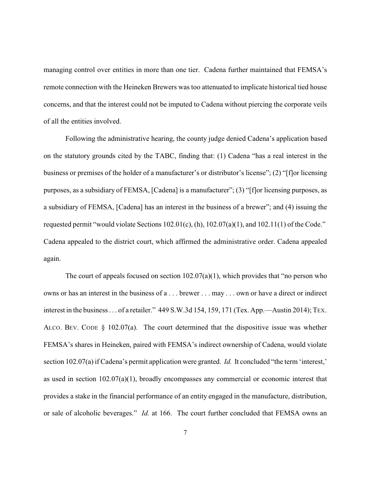managing control over entities in more than one tier. Cadena further maintained that FEMSA's remote connection with the Heineken Brewers was too attenuated to implicate historical tied house concerns, and that the interest could not be imputed to Cadena without piercing the corporate veils of all the entities involved.

Following the administrative hearing, the county judge denied Cadena's application based on the statutory grounds cited by the TABC, finding that: (1) Cadena "has a real interest in the business or premises of the holder of a manufacturer's or distributor's license"; (2) "[f]or licensing purposes, as a subsidiary of FEMSA, [Cadena] is a manufacturer"; (3) "[f]or licensing purposes, as a subsidiary of FEMSA, [Cadena] has an interest in the business of a brewer"; and (4) issuing the requested permit "would violate Sections 102.01(c), (h), 102.07(a)(1), and 102.11(1) of the Code." Cadena appealed to the district court, which affirmed the administrative order. Cadena appealed again.

The court of appeals focused on section  $102.07(a)(1)$ , which provides that "no person who owns or has an interest in the business of a . . . brewer . . . may . . . own or have a direct or indirect interest in the business . . . of a retailer." 449 S.W.3d 154, 159, 171 (Tex. App.—Austin 2014); TEX. ALCO. BEV. CODE § 102.07(a). The court determined that the dispositive issue was whether FEMSA's shares in Heineken, paired with FEMSA's indirect ownership of Cadena, would violate section 102.07(a) if Cadena's permit application were granted. *Id.* It concluded "the term 'interest,' as used in section  $102.07(a)(1)$ , broadly encompasses any commercial or economic interest that provides a stake in the financial performance of an entity engaged in the manufacture, distribution, or sale of alcoholic beverages." *Id.* at 166. The court further concluded that FEMSA owns an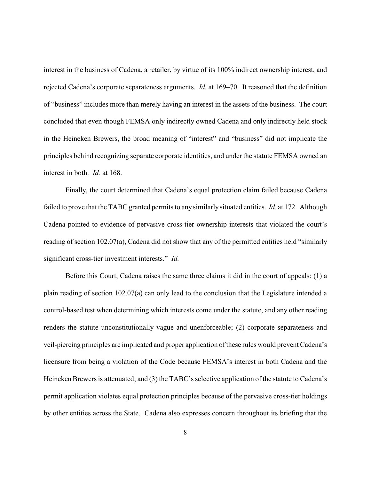interest in the business of Cadena, a retailer, by virtue of its 100% indirect ownership interest, and rejected Cadena's corporate separateness arguments. *Id.* at 169–70. It reasoned that the definition of "business" includes more than merely having an interest in the assets of the business. The court concluded that even though FEMSA only indirectly owned Cadena and only indirectly held stock in the Heineken Brewers, the broad meaning of "interest" and "business" did not implicate the principles behind recognizing separate corporate identities, and under the statute FEMSA owned an interest in both. *Id.* at 168.

Finally, the court determined that Cadena's equal protection claim failed because Cadena failed to prove that the TABC granted permits to any similarlysituated entities. *Id.* at 172. Although Cadena pointed to evidence of pervasive cross-tier ownership interests that violated the court's reading of section 102.07(a), Cadena did not show that any of the permitted entities held "similarly significant cross-tier investment interests." *Id.*

Before this Court, Cadena raises the same three claims it did in the court of appeals: (1) a plain reading of section 102.07(a) can only lead to the conclusion that the Legislature intended a control-based test when determining which interests come under the statute, and any other reading renders the statute unconstitutionally vague and unenforceable; (2) corporate separateness and veil-piercing principles are implicated and proper application of these rules would prevent Cadena's licensure from being a violation of the Code because FEMSA's interest in both Cadena and the Heineken Brewers is attenuated; and (3) the TABC's selective application of the statute to Cadena's permit application violates equal protection principles because of the pervasive cross-tier holdings by other entities across the State. Cadena also expresses concern throughout its briefing that the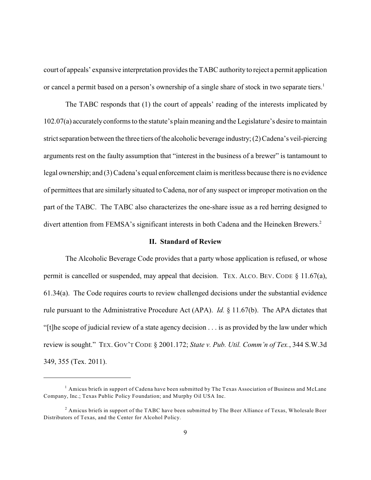court of appeals' expansive interpretation provides the TABC authorityto reject a permit application or cancel a permit based on a person's ownership of a single share of stock in two separate tiers.<sup>1</sup>

The TABC responds that (1) the court of appeals' reading of the interests implicated by 102.07(a) accuratelyconforms to the statute's plain meaning and the Legislature's desire to maintain strict separation between the three tiers ofthe alcoholic beverage industry; (2) Cadena's veil-piercing arguments rest on the faulty assumption that "interest in the business of a brewer" is tantamount to legal ownership; and (3) Cadena's equal enforcement claim is meritless because there is no evidence of permittees that are similarly situated to Cadena, nor of any suspect or improper motivation on the part of the TABC. The TABC also characterizes the one-share issue as a red herring designed to divert attention from FEMSA's significant interests in both Cadena and the Heineken Brewers.<sup>2</sup>

## **II. Standard of Review**

The Alcoholic Beverage Code provides that a party whose application is refused, or whose permit is cancelled or suspended, may appeal that decision. TEX. ALCO. BEV. CODE § 11.67(a), 61.34(a). The Code requires courts to review challenged decisions under the substantial evidence rule pursuant to the Administrative Procedure Act (APA). *Id.* § 11.67(b). The APA dictates that "[t]he scope of judicial review of a state agency decision . . . is as provided by the law under which review is sought." TEX. GOV'T CODE § 2001.172; *State v. Pub. Util. Comm'n of Tex.*, 344 S.W.3d 349, 355 (Tex. 2011).

<sup>&</sup>lt;sup>1</sup> Amicus briefs in support of Cadena have been submitted by The Texas Association of Business and McLane Company, Inc.; Texas Public Policy Foundation; and Murphy Oil USA Inc.

 $^2$  Amicus briefs in support of the TABC have been submitted by The Beer Alliance of Texas, Wholesale Beer Distributors of Texas, and the Center for Alcohol Policy.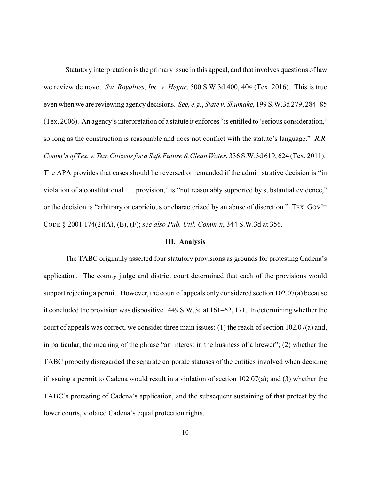Statutory interpretation is the primary issue in this appeal, and that involves questions of law we review de novo. *Sw. Royalties, Inc. v. Hegar*, 500 S.W.3d 400, 404 (Tex. 2016). This is true even when we are reviewing agency decisions. *See, e.g.*, *State v. Shumake*, 199 S.W.3d 279, 284–85 (Tex. 2006). An agency's interpretation of a statute it enforces "is entitled to 'serious consideration,' so long as the construction is reasonable and does not conflict with the statute's language." *R.R. Comm'n of Tex. v. Tex. Citizens for a Safe Future &Clean Water*, 336 S.W.3d 619, 624 (Tex. 2011). The APA provides that cases should be reversed or remanded if the administrative decision is "in violation of a constitutional . . . provision," is "not reasonably supported by substantial evidence," or the decision is "arbitrary or capricious or characterized by an abuse of discretion." TEX. GOV'T CODE § 2001.174(2)(A), (E), (F); *see also Pub. Util. Comm'n*, 344 S.W.3d at 356.

## **III. Analysis**

The TABC originally asserted four statutory provisions as grounds for protesting Cadena's application. The county judge and district court determined that each of the provisions would support rejecting a permit. However, the court of appeals only considered section 102.07(a) because it concluded the provision was dispositive. 449 S.W.3d at 161–62, 171. In determining whether the court of appeals was correct, we consider three main issues: (1) the reach of section 102.07(a) and, in particular, the meaning of the phrase "an interest in the business of a brewer"; (2) whether the TABC properly disregarded the separate corporate statuses of the entities involved when deciding if issuing a permit to Cadena would result in a violation of section 102.07(a); and (3) whether the TABC's protesting of Cadena's application, and the subsequent sustaining of that protest by the lower courts, violated Cadena's equal protection rights.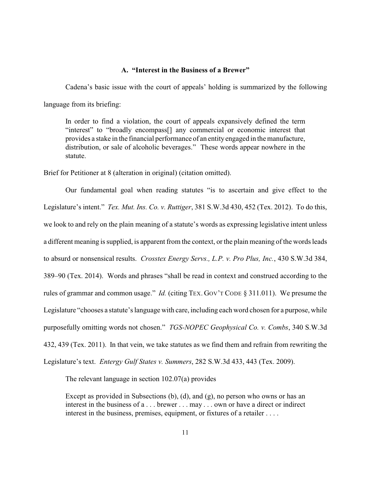## **A. "Interest in the Business of a Brewer"**

Cadena's basic issue with the court of appeals' holding is summarized by the following language from its briefing:

In order to find a violation, the court of appeals expansively defined the term "interest" to "broadly encompass[] any commercial or economic interest that provides a stake in the financial performance of an entityengaged in the manufacture, distribution, or sale of alcoholic beverages." These words appear nowhere in the statute.

Brief for Petitioner at 8 (alteration in original) (citation omitted).

Our fundamental goal when reading statutes "is to ascertain and give effect to the Legislature's intent." *Tex. Mut. Ins. Co. v. Ruttiger*, 381 S.W.3d 430, 452 (Tex. 2012). To do this, we look to and rely on the plain meaning of a statute's words as expressing legislative intent unless a different meaning is supplied, is apparent from the context, or the plain meaning of the words leads to absurd or nonsensical results. *Crosstex Energy Servs., L.P. v. Pro Plus, Inc.*, 430 S.W.3d 384, 389–90 (Tex. 2014). Words and phrases "shall be read in context and construed according to the rules of grammar and common usage." *Id.* (citing TEX. GOV'T CODE § 311.011). We presume the Legislature "chooses a statute's language with care, including each word chosen for a purpose, while purposefully omitting words not chosen." *TGS-NOPEC Geophysical Co. v. Combs*, 340 S.W.3d 432, 439 (Tex. 2011). In that vein, we take statutes as we find them and refrain from rewriting the Legislature's text. *Entergy Gulf States v. Summers*, 282 S.W.3d 433, 443 (Tex. 2009).

The relevant language in section 102.07(a) provides

Except as provided in Subsections (b), (d), and (g), no person who owns or has an interest in the business of a . . . brewer . . . may . . . own or have a direct or indirect interest in the business, premises, equipment, or fixtures of a retailer . . . .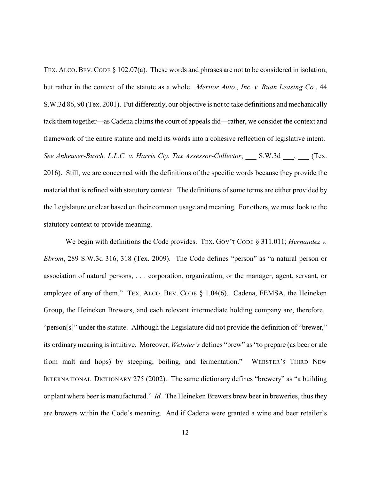TEX. ALCO. BEV. CODE § 102.07(a). These words and phrases are not to be considered in isolation, but rather in the context of the statute as a whole. *Meritor Auto., Inc. v. Ruan Leasing Co.*, 44 S.W.3d 86, 90 (Tex. 2001). Put differently, our objective is not to take definitions and mechanically tack them together—as Cadena claims the court of appeals did—rather, we consider the context and framework of the entire statute and meld its words into a cohesive reflection of legislative intent. *See Anheuser-Busch, L.L.C. v. Harris Cty. Tax Assessor-Collector*, \_\_\_ S.W.3d \_\_\_, \_\_\_ (Tex. 2016). Still, we are concerned with the definitions of the specific words because they provide the material that is refined with statutory context. The definitions of some terms are either provided by the Legislature or clear based on their common usage and meaning. For others, we must look to the statutory context to provide meaning.

We begin with definitions the Code provides. TEX. GOV'T CODE § 311.011; *Hernandez v. Ebrom*, 289 S.W.3d 316, 318 (Tex. 2009). The Code defines "person" as "a natural person or association of natural persons, . . . corporation, organization, or the manager, agent, servant, or employee of any of them." TEX. ALCO. BEV. CODE § 1.04(6). Cadena, FEMSA, the Heineken Group, the Heineken Brewers, and each relevant intermediate holding company are, therefore, "person[s]" under the statute. Although the Legislature did not provide the definition of "brewer," its ordinary meaning is intuitive. Moreover, *Webster's* defines "brew" as "to prepare (as beer or ale from malt and hops) by steeping, boiling, and fermentation." WEBSTER'S THIRD NEW INTERNATIONAL DICTIONARY 275 (2002). The same dictionary defines "brewery" as "a building or plant where beer is manufactured." *Id.* The Heineken Brewers brew beer in breweries, thus they are brewers within the Code's meaning. And if Cadena were granted a wine and beer retailer's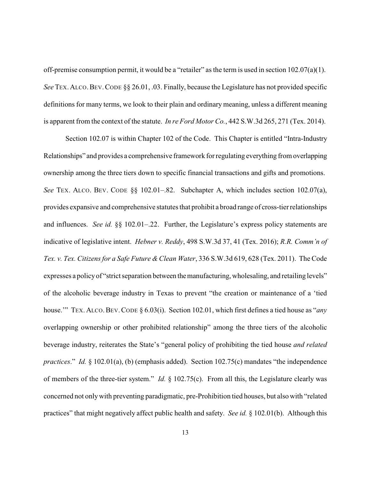off-premise consumption permit, it would be a "retailer" as the term is used in section 102.07(a)(1). *See* TEX.ALCO.BEV.CODE §§ 26.01, .03. Finally, because the Legislature has not provided specific definitions for many terms, we look to their plain and ordinary meaning, unless a different meaning is apparent from the context of the statute. *In re Ford Motor Co.*, 442 S.W.3d 265, 271 (Tex. 2014).

Section 102.07 is within Chapter 102 of the Code. This Chapter is entitled "Intra-Industry Relationships" and provides a comprehensive framework for regulating everything from overlapping ownership among the three tiers down to specific financial transactions and gifts and promotions. *See* TEX. ALCO. BEV. CODE §§ 102.01–.82. Subchapter A, which includes section 102.07(a), provides expansive and comprehensive statutes that prohibit a broad range of cross-tierrelationships and influences. *See id.* §§ 102.01–.22. Further, the Legislature's express policy statements are indicative of legislative intent. *Hebner v. Reddy*, 498 S.W.3d 37, 41 (Tex. 2016); *R.R. Comm'n of Tex. v. Tex. Citizens for a Safe Future & Clean Water*, 336 S.W.3d 619, 628 (Tex. 2011). The Code expresses a policy of "strict separation between the manufacturing, wholesaling, and retailing levels" of the alcoholic beverage industry in Texas to prevent "the creation or maintenance of a 'tied house.'" TEX. ALCO.BEV.CODE § 6.03(i). Section 102.01, which first defines a tied house as "*any* overlapping ownership or other prohibited relationship" among the three tiers of the alcoholic beverage industry, reiterates the State's "general policy of prohibiting the tied house *and related practices*." *Id.* § 102.01(a), (b) (emphasis added). Section 102.75(c) mandates "the independence of members of the three-tier system." *Id.* § 102.75(c). From all this, the Legislature clearly was concerned not onlywith preventing paradigmatic, pre-Prohibition tied houses, but also with "related practices" that might negatively affect public health and safety. *See id.* § 102.01(b). Although this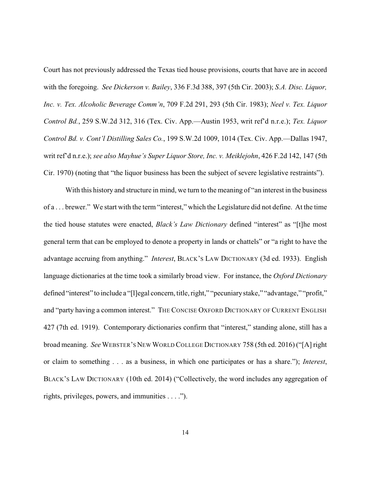Court has not previously addressed the Texas tied house provisions, courts that have are in accord with the foregoing. *See Dickerson v. Bailey*, 336 F.3d 388, 397 (5th Cir. 2003); *S.A. Disc. Liquor, Inc. v. Tex. Alcoholic Beverage Comm'n*, 709 F.2d 291, 293 (5th Cir. 1983); *Neel v. Tex. Liquor Control Bd.*, 259 S.W.2d 312, 316 (Tex. Civ. App.—Austin 1953, writ ref'd n.r.e.); *Tex. Liquor Control Bd. v. Cont'l Distilling Sales Co.*, 199 S.W.2d 1009, 1014 (Tex. Civ. App.—Dallas 1947, writ ref'd n.r.e.); *see also Mayhue's Super Liquor Store, Inc. v. Meiklejohn*, 426 F.2d 142, 147 (5th Cir. 1970) (noting that "the liquor business has been the subject of severe legislative restraints").

With this history and structure in mind, we turn to the meaning of "an interest in the business" of a . . . brewer." We start with the term "interest," which the Legislature did not define. At the time the tied house statutes were enacted, *Black's Law Dictionary* defined "interest" as "[t]he most general term that can be employed to denote a property in lands or chattels" or "a right to have the advantage accruing from anything." *Interest*, BLACK'S LAW DICTIONARY (3d ed. 1933). English language dictionaries at the time took a similarly broad view. For instance, the *Oxford Dictionary* defined "interest" to include a "[l]egal concern, title, right," "pecuniarystake," "advantage," "profit," and "party having a common interest." THE CONCISE OXFORD DICTIONARY OF CURRENT ENGLISH 427 (7th ed. 1919). Contemporary dictionaries confirm that "interest," standing alone, still has a broad meaning. *See* WEBSTER'S NEW WORLD COLLEGE DICTIONARY 758 (5th ed. 2016) ("[A] right or claim to something . . . as a business, in which one participates or has a share."); *Interest*, BLACK'S LAW DICTIONARY (10th ed. 2014) ("Collectively, the word includes any aggregation of rights, privileges, powers, and immunities . . . .").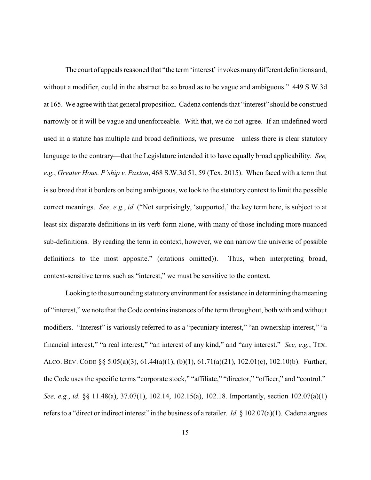The court of appeals reasoned that "the term 'interest' invokes manydifferent definitions and, without a modifier, could in the abstract be so broad as to be vague and ambiguous." 449 S.W.3d at 165. We agree with that general proposition. Cadena contends that "interest" should be construed narrowly or it will be vague and unenforceable. With that, we do not agree. If an undefined word used in a statute has multiple and broad definitions, we presume—unless there is clear statutory language to the contrary—that the Legislature intended it to have equally broad applicability. *See, e.g.*, *Greater Hous. P'ship v. Paxton*, 468 S.W.3d 51, 59 (Tex. 2015). When faced with a term that is so broad that it borders on being ambiguous, we look to the statutory context to limit the possible correct meanings. *See, e.g.*, *id.* ("Not surprisingly, 'supported,' the key term here, is subject to at least six disparate definitions in its verb form alone, with many of those including more nuanced sub-definitions. By reading the term in context, however, we can narrow the universe of possible definitions to the most apposite." (citations omitted)). Thus, when interpreting broad, context-sensitive terms such as "interest," we must be sensitive to the context.

Looking to the surrounding statutory environment for assistance in determining the meaning of "interest," we note that the Code contains instances of the term throughout, both with and without modifiers. "Interest" is variously referred to as a "pecuniary interest," "an ownership interest," "a financial interest," "a real interest," "an interest of any kind," and "any interest." *See, e.g.*, TEX. ALCO. BEV. CODE §§ 5.05(a)(3), 61.44(a)(1), (b)(1), 61.71(a)(21), 102.01(c), 102.10(b). Further, the Code uses the specific terms "corporate stock," "affiliate," "director," "officer," and "control." *See, e.g.*, *id.* §§ 11.48(a), 37.07(1), 102.14, 102.15(a), 102.18. Importantly, section 102.07(a)(1) refers to a "direct or indirect interest" in the business of a retailer. *Id.* § 102.07(a)(1). Cadena argues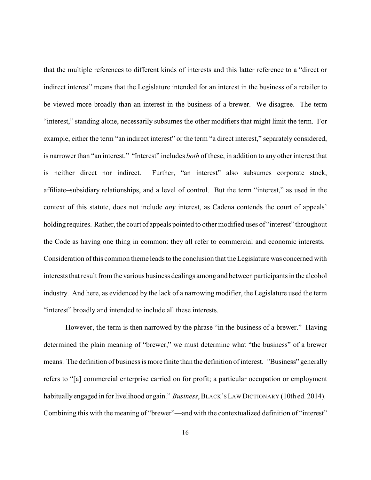that the multiple references to different kinds of interests and this latter reference to a "direct or indirect interest" means that the Legislature intended for an interest in the business of a retailer to be viewed more broadly than an interest in the business of a brewer. We disagree. The term "interest," standing alone, necessarily subsumes the other modifiers that might limit the term. For example, either the term "an indirect interest" or the term "a direct interest," separately considered, is narrower than "an interest." "Interest" includes *both* of these, in addition to any other interest that is neither direct nor indirect. Further, "an interest" also subsumes corporate stock, affiliate–subsidiary relationships, and a level of control. But the term "interest," as used in the context of this statute, does not include *any* interest, as Cadena contends the court of appeals' holding requires. Rather, the court of appeals pointed to other modified uses of "interest" throughout the Code as having one thing in common: they all refer to commercial and economic interests. Consideration of this common theme leads to the conclusion that the Legislature was concerned with interests that result from the various business dealings among and between participants in the alcohol industry. And here, as evidenced by the lack of a narrowing modifier, the Legislature used the term "interest" broadly and intended to include all these interests.

However, the term is then narrowed by the phrase "in the business of a brewer." Having determined the plain meaning of "brewer," we must determine what "the business" of a brewer means. The definition of business is more finite than the definition of interest. *"*Business" generally refers to "[a] commercial enterprise carried on for profit; a particular occupation or employment habitually engaged in for livelihood or gain." *Business*, BLACK'SLAW DICTIONARY (10th ed. 2014). Combining this with the meaning of "brewer"—and with the contextualized definition of "interest"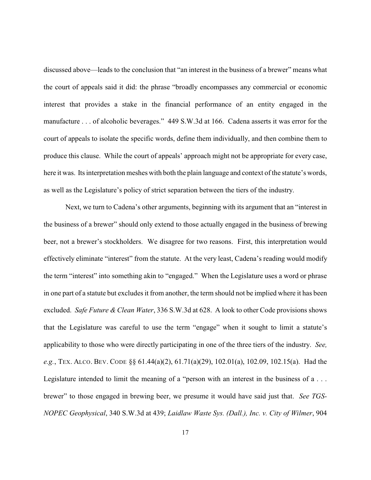discussed above—leads to the conclusion that "an interest in the business of a brewer" means what the court of appeals said it did: the phrase "broadly encompasses any commercial or economic interest that provides a stake in the financial performance of an entity engaged in the manufacture . . . of alcoholic beverages." 449 S.W.3d at 166. Cadena asserts it was error for the court of appeals to isolate the specific words, define them individually, and then combine them to produce this clause. While the court of appeals' approach might not be appropriate for every case, here it was. Its interpretation meshes with both the plain language and context of the statute's words, as well as the Legislature's policy of strict separation between the tiers of the industry.

Next, we turn to Cadena's other arguments, beginning with its argument that an "interest in the business of a brewer" should only extend to those actually engaged in the business of brewing beer, not a brewer's stockholders. We disagree for two reasons. First, this interpretation would effectively eliminate "interest" from the statute. At the very least, Cadena's reading would modify the term "interest" into something akin to "engaged." When the Legislature uses a word or phrase in one part of a statute but excludes it from another, the term should not be implied where it has been excluded. *Safe Future & Clean Water*, 336 S.W.3d at 628. A look to other Code provisions shows that the Legislature was careful to use the term "engage" when it sought to limit a statute's applicability to those who were directly participating in one of the three tiers of the industry. *See, e.g.*, TEX. ALCO. BEV. CODE §§ 61.44(a)(2), 61.71(a)(29), 102.01(a), 102.09, 102.15(a). Had the Legislature intended to limit the meaning of a "person with an interest in the business of a . . . brewer" to those engaged in brewing beer, we presume it would have said just that. *See TGS-NOPEC Geophysical*, 340 S.W.3d at 439; *Laidlaw Waste Sys. (Dall.), Inc. v. City of Wilmer*, 904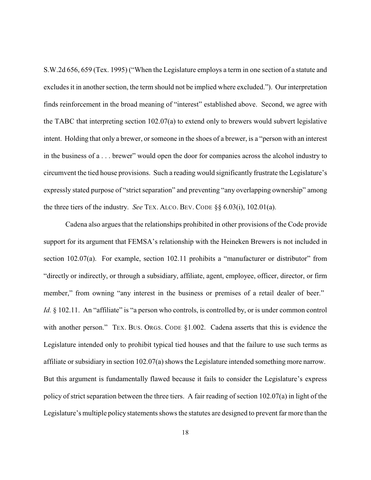S.W.2d 656, 659 (Tex. 1995) ("When the Legislature employs a term in one section of a statute and excludes it in another section, the term should not be implied where excluded."). Our interpretation finds reinforcement in the broad meaning of "interest" established above. Second, we agree with the TABC that interpreting section 102.07(a) to extend only to brewers would subvert legislative intent. Holding that only a brewer, or someone in the shoes of a brewer, is a "person with an interest in the business of a . . . brewer" would open the door for companies across the alcohol industry to circumvent the tied house provisions. Such a reading would significantly frustrate the Legislature's expressly stated purpose of "strict separation" and preventing "any overlapping ownership" among the three tiers of the industry. *See* TEX. ALCO. BEV. CODE §§ 6.03(i), 102.01(a).

Cadena also argues that the relationships prohibited in other provisions of the Code provide support for its argument that FEMSA's relationship with the Heineken Brewers is not included in section 102.07(a). For example, section 102.11 prohibits a "manufacturer or distributor" from "directly or indirectly, or through a subsidiary, affiliate, agent, employee, officer, director, or firm member," from owning "any interest in the business or premises of a retail dealer of beer." *Id.* § 102.11. An "affiliate" is "a person who controls, is controlled by, or is under common control with another person." TEX. BUS. ORGS. CODE §1.002. Cadena asserts that this is evidence the Legislature intended only to prohibit typical tied houses and that the failure to use such terms as affiliate or subsidiary in section  $102.07(a)$  shows the Legislature intended something more narrow. But this argument is fundamentally flawed because it fails to consider the Legislature's express policy of strict separation between the three tiers. A fair reading of section 102.07(a) in light of the Legislature's multiple policy statements shows the statutes are designed to prevent far more than the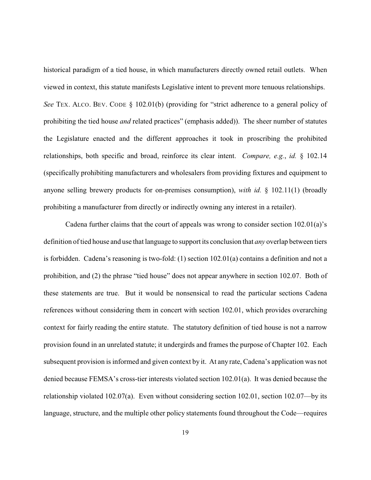historical paradigm of a tied house, in which manufacturers directly owned retail outlets. When viewed in context, this statute manifests Legislative intent to prevent more tenuous relationships. *See* TEX. ALCO. BEV. CODE § 102.01(b) (providing for "strict adherence to a general policy of prohibiting the tied house *and* related practices" (emphasis added)). The sheer number of statutes the Legislature enacted and the different approaches it took in proscribing the prohibited relationships, both specific and broad, reinforce its clear intent. *Compare, e.g.*, *id.* § 102.14 (specifically prohibiting manufacturers and wholesalers from providing fixtures and equipment to anyone selling brewery products for on-premises consumption), *with id.* § 102.11(1) (broadly prohibiting a manufacturer from directly or indirectly owning any interest in a retailer).

Cadena further claims that the court of appeals was wrong to consider section 102.01(a)'s definition of tied house and use that language to support its conclusion that *any* overlap between tiers is forbidden. Cadena's reasoning is two-fold: (1) section 102.01(a) contains a definition and not a prohibition, and (2) the phrase "tied house" does not appear anywhere in section 102.07. Both of these statements are true. But it would be nonsensical to read the particular sections Cadena references without considering them in concert with section 102.01, which provides overarching context for fairly reading the entire statute. The statutory definition of tied house is not a narrow provision found in an unrelated statute; it undergirds and frames the purpose of Chapter 102. Each subsequent provision is informed and given context by it. At any rate, Cadena's application was not denied because FEMSA's cross-tier interests violated section 102.01(a). It was denied because the relationship violated 102.07(a). Even without considering section 102.01, section 102.07—by its language, structure, and the multiple other policy statements found throughout the Code—requires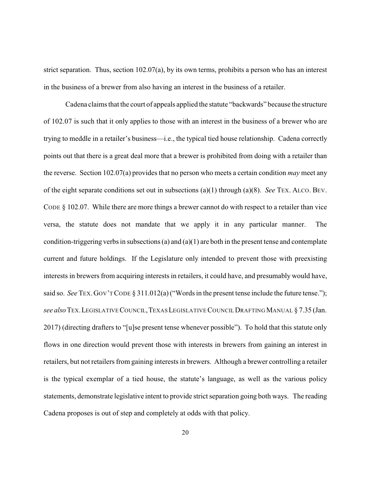strict separation. Thus, section 102.07(a), by its own terms, prohibits a person who has an interest in the business of a brewer from also having an interest in the business of a retailer.

Cadena claims that the court of appeals applied the statute "backwards" because the structure of 102.07 is such that it only applies to those with an interest in the business of a brewer who are trying to meddle in a retailer's business—i.e., the typical tied house relationship. Cadena correctly points out that there is a great deal more that a brewer is prohibited from doing with a retailer than the reverse. Section 102.07(a) provides that no person who meets a certain condition *may* meet any of the eight separate conditions set out in subsections (a)(1) through (a)(8). *See* TEX. ALCO. BEV. CODE  $\S$  102.07. While there are more things a brewer cannot do with respect to a retailer than vice versa, the statute does not mandate that we apply it in any particular manner. The condition-triggering verbs in subsections (a) and  $(a)(1)$  are both in the present tense and contemplate current and future holdings. If the Legislature only intended to prevent those with preexisting interests in brewers from acquiring interests in retailers, it could have, and presumably would have, said so. *See* TEX. GOV'T CODE § 311.012(a) ("Words in the present tense include the future tense."); *see also*TEX.LEGISLATIVECOUNCIL,TEXASLEGISLATIVECOUNCILDRAFTING MANUAL § 7.35 (Jan. 2017) (directing drafters to "[u]se present tense whenever possible"). To hold that this statute only flows in one direction would prevent those with interests in brewers from gaining an interest in retailers, but not retailers from gaining interests in brewers. Although a brewer controlling a retailer is the typical exemplar of a tied house, the statute's language, as well as the various policy statements, demonstrate legislative intent to provide strict separation going both ways. The reading Cadena proposes is out of step and completely at odds with that policy.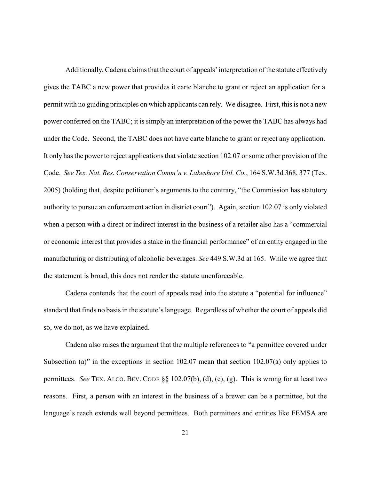Additionally, Cadena claims that the court of appeals' interpretation of the statute effectively gives the TABC a new power that provides it carte blanche to grant or reject an application for a permit with no guiding principles on which applicants can rely. We disagree. First, this is not a new power conferred on the TABC; it is simply an interpretation of the power the TABC has always had under the Code. Second, the TABC does not have carte blanche to grant or reject any application. It only has the power to reject applications that violate section 102.07 or some other provision of the Code. *See Tex. Nat. Res. Conservation Comm'n v. Lakeshore Util. Co.*, 164 S.W.3d 368, 377 (Tex. 2005) (holding that, despite petitioner's arguments to the contrary, "the Commission has statutory authority to pursue an enforcement action in district court"). Again, section 102.07 is only violated when a person with a direct or indirect interest in the business of a retailer also has a "commercial or economic interest that provides a stake in the financial performance" of an entity engaged in the manufacturing or distributing of alcoholic beverages. *See* 449 S.W.3d at 165. While we agree that the statement is broad, this does not render the statute unenforceable.

Cadena contends that the court of appeals read into the statute a "potential for influence" standard that finds no basis in the statute's language. Regardless of whether the court of appeals did so, we do not, as we have explained.

Cadena also raises the argument that the multiple references to "a permittee covered under Subsection (a)" in the exceptions in section 102.07 mean that section 102.07(a) only applies to permittees. *See* TEX. ALCO. BEV. CODE §§ 102.07(b), (d), (e), (g). This is wrong for at least two reasons. First, a person with an interest in the business of a brewer can be a permittee, but the language's reach extends well beyond permittees. Both permittees and entities like FEMSA are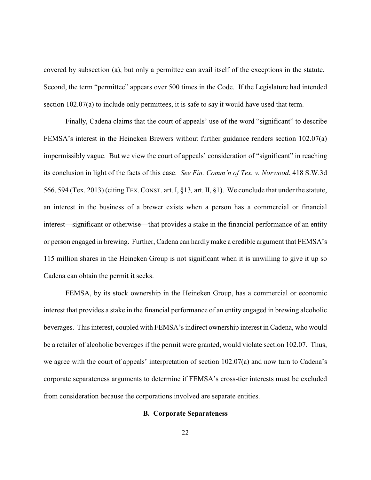covered by subsection (a), but only a permittee can avail itself of the exceptions in the statute. Second, the term "permittee" appears over 500 times in the Code. If the Legislature had intended section 102.07(a) to include only permittees, it is safe to say it would have used that term.

Finally, Cadena claims that the court of appeals' use of the word "significant" to describe FEMSA's interest in the Heineken Brewers without further guidance renders section 102.07(a) impermissibly vague. But we view the court of appeals' consideration of "significant" in reaching its conclusion in light of the facts of this case. *See Fin. Comm'n of Tex. v. Norwood*, 418 S.W.3d 566, 594 (Tex. 2013) (citing TEX.CONST. art. I, §13*,* art. II, §1). We conclude that under the statute, an interest in the business of a brewer exists when a person has a commercial or financial interest—significant or otherwise—that provides a stake in the financial performance of an entity or person engaged in brewing. Further, Cadena can hardlymake a credible argument that FEMSA's 115 million shares in the Heineken Group is not significant when it is unwilling to give it up so Cadena can obtain the permit it seeks.

FEMSA, by its stock ownership in the Heineken Group, has a commercial or economic interest that provides a stake in the financial performance of an entity engaged in brewing alcoholic beverages. This interest, coupled with FEMSA's indirect ownership interest in Cadena, who would be a retailer of alcoholic beverages if the permit were granted, would violate section 102.07. Thus, we agree with the court of appeals' interpretation of section 102.07(a) and now turn to Cadena's corporate separateness arguments to determine if FEMSA's cross-tier interests must be excluded from consideration because the corporations involved are separate entities.

## **B. Corporate Separateness**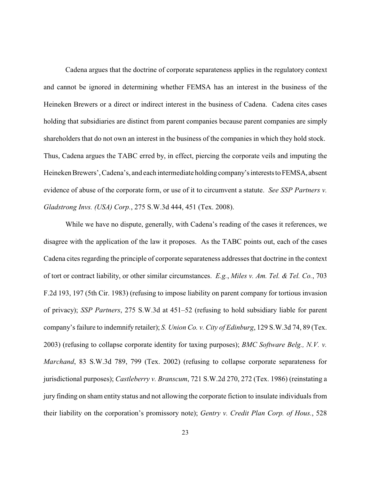Cadena argues that the doctrine of corporate separateness applies in the regulatory context and cannot be ignored in determining whether FEMSA has an interest in the business of the Heineken Brewers or a direct or indirect interest in the business of Cadena. Cadena cites cases holding that subsidiaries are distinct from parent companies because parent companies are simply shareholders that do not own an interest in the business of the companies in which they hold stock. Thus, Cadena argues the TABC erred by, in effect, piercing the corporate veils and imputing the Heineken Brewers', Cadena's, and each intermediate holding company's interests to FEMSA, absent evidence of abuse of the corporate form, or use of it to circumvent a statute. *See SSP Partners v. Gladstrong Invs. (USA) Corp.*, 275 S.W.3d 444, 451 (Tex. 2008).

While we have no dispute, generally, with Cadena's reading of the cases it references, we disagree with the application of the law it proposes. As the TABC points out, each of the cases Cadena cites regarding the principle of corporate separateness addresses that doctrine in the context of tort or contract liability, or other similar circumstances. *E.g.*, *Miles v. Am. Tel. & Tel. Co.*, 703 F.2d 193, 197 (5th Cir. 1983) (refusing to impose liability on parent company for tortious invasion of privacy); *SSP Partners*, 275 S.W.3d at 451–52 (refusing to hold subsidiary liable for parent company's failure to indemnify retailer); *S. Union Co. v. City of Edinburg*, 129 S.W.3d 74, 89 (Tex. 2003) (refusing to collapse corporate identity for taxing purposes); *BMC Software Belg., N.V. v. Marchand*, 83 S.W.3d 789, 799 (Tex. 2002) (refusing to collapse corporate separateness for jurisdictional purposes); *Castleberry v. Branscum*, 721 S.W.2d 270, 272 (Tex. 1986) (reinstating a jury finding on sham entity status and not allowing the corporate fiction to insulate individuals from their liability on the corporation's promissory note); *Gentry v. Credit Plan Corp. of Hous.*, 528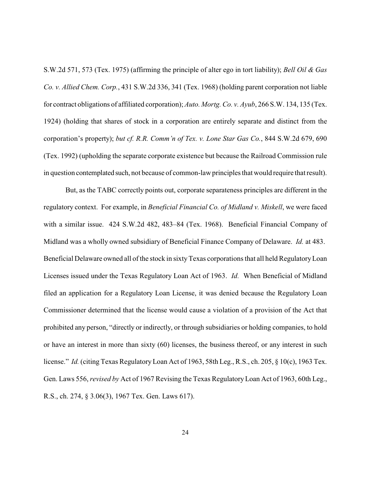S.W.2d 571, 573 (Tex. 1975) (affirming the principle of alter ego in tort liability); *Bell Oil & Gas Co. v. Allied Chem. Corp.*, 431 S.W.2d 336, 341 (Tex. 1968) (holding parent corporation not liable for contract obligations of affiliated corporation); *Auto. Mortg. Co. v. Ayub*, 266 S.W. 134, 135 (Tex. 1924) (holding that shares of stock in a corporation are entirely separate and distinct from the corporation's property); *but cf. R.R. Comm'n of Tex. v. Lone Star Gas Co.*, 844 S.W.2d 679, 690 (Tex. 1992) (upholding the separate corporate existence but because the Railroad Commission rule in question contemplated such, not because of common-law principles that would require that result).

But, as the TABC correctly points out, corporate separateness principles are different in the regulatory context. For example, in *Beneficial Financial Co. of Midland v. Miskell*, we were faced with a similar issue. 424 S.W.2d 482, 483–84 (Tex. 1968). Beneficial Financial Company of Midland was a wholly owned subsidiary of Beneficial Finance Company of Delaware. *Id.* at 483. Beneficial Delaware owned all of the stock in sixty Texas corporations that all held Regulatory Loan Licenses issued under the Texas Regulatory Loan Act of 1963. *Id.* When Beneficial of Midland filed an application for a Regulatory Loan License, it was denied because the Regulatory Loan Commissioner determined that the license would cause a violation of a provision of the Act that prohibited any person, "directly or indirectly, or through subsidiaries or holding companies, to hold or have an interest in more than sixty (60) licenses, the business thereof, or any interest in such license." *Id.* (citing Texas Regulatory Loan Act of 1963, 58th Leg., R.S., ch. 205, § 10(c), 1963 Tex. Gen. Laws 556, *revised by* Act of 1967 Revising the Texas RegulatoryLoan Act of 1963, 60th Leg., R.S., ch. 274, § 3.06(3), 1967 Tex. Gen. Laws 617).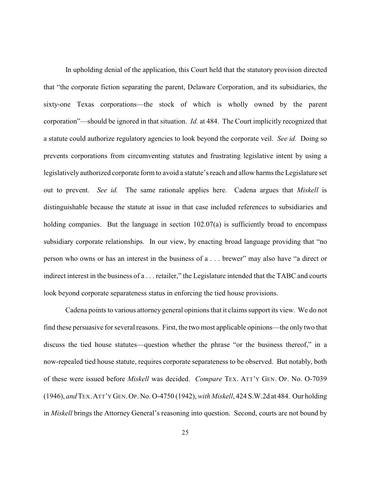In upholding denial of the application, this Court held that the statutory provision directed that "the corporate fiction separating the parent, Delaware Corporation, and its subsidiaries, the sixty-one Texas corporations—the stock of which is wholly owned by the parent corporation"—should be ignored in that situation. *Id.* at 484. The Court implicitly recognized that a statute could authorize regulatory agencies to look beyond the corporate veil. *See id.* Doing so prevents corporations from circumventing statutes and frustrating legislative intent by using a legislatively authorized corporate form to avoid a statute's reach and allow harms the Legislature set out to prevent. *See id.* The same rationale applies here. Cadena argues that *Miskell* is distinguishable because the statute at issue in that case included references to subsidiaries and holding companies. But the language in section 102.07(a) is sufficiently broad to encompass subsidiary corporate relationships. In our view, by enacting broad language providing that "no person who owns or has an interest in the business of a . . . brewer" may also have "a direct or indirect interest in the business of a . . . retailer," the Legislature intended that the TABC and courts look beyond corporate separateness status in enforcing the tied house provisions.

Cadena points to various attorney general opinions that it claims support its view. We do not find these persuasive for several reasons. First, the two most applicable opinions—the only two that discuss the tied house statutes—question whether the phrase "or the business thereof," in a now-repealed tied house statute, requires corporate separateness to be observed. But notably, both of these were issued before *Miskell* was decided. *Compare* TEX. ATT'Y GEN. OP. No. O-7039 (1946), *and* TEX.ATT'Y GEN.OP. No. O-4750 (1942), *with Miskell*, 424 S.W.2d at 484. Our holding in *Miskell* brings the Attorney General's reasoning into question. Second, courts are not bound by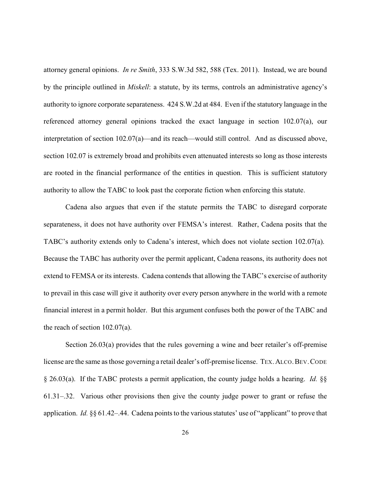attorney general opinions. *In re Smith*, 333 S.W.3d 582, 588 (Tex. 2011). Instead, we are bound by the principle outlined in *Miskell*: a statute, by its terms, controls an administrative agency's authority to ignore corporate separateness. 424 S.W.2d at 484. Even if the statutory language in the referenced attorney general opinions tracked the exact language in section 102.07(a), our interpretation of section 102.07(a)—and its reach—would still control. And as discussed above, section 102.07 is extremely broad and prohibits even attenuated interests so long as those interests are rooted in the financial performance of the entities in question. This is sufficient statutory authority to allow the TABC to look past the corporate fiction when enforcing this statute.

Cadena also argues that even if the statute permits the TABC to disregard corporate separateness, it does not have authority over FEMSA's interest. Rather, Cadena posits that the TABC's authority extends only to Cadena's interest, which does not violate section 102.07(a). Because the TABC has authority over the permit applicant, Cadena reasons, its authority does not extend to FEMSA or its interests. Cadena contends that allowing the TABC's exercise of authority to prevail in this case will give it authority over every person anywhere in the world with a remote financial interest in a permit holder. But this argument confuses both the power of the TABC and the reach of section 102.07(a).

Section 26.03(a) provides that the rules governing a wine and beer retailer's off-premise license are the same as those governing a retail dealer's off-premise license. TEX.ALCO.BEV.CODE § 26.03(a). If the TABC protests a permit application, the county judge holds a hearing. *Id.* §§ 61.31–.32. Various other provisions then give the county judge power to grant or refuse the application. *Id.* §§ 61.42–.44. Cadena points to the various statutes' use of "applicant" to prove that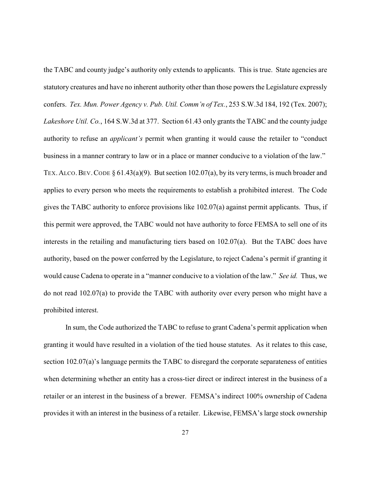the TABC and county judge's authority only extends to applicants. This is true. State agencies are statutory creatures and have no inherent authority other than those powers the Legislature expressly confers. *Tex. Mun. Power Agency v. Pub. Util. Comm'n of Tex.*, 253 S.W.3d 184, 192 (Tex. 2007); *Lakeshore Util. Co.*, 164 S.W.3d at 377. Section 61.43 only grants the TABC and the county judge authority to refuse an *applicant's* permit when granting it would cause the retailer to "conduct business in a manner contrary to law or in a place or manner conducive to a violation of the law." TEX. ALCO. BEV. CODE  $\S 61.43(a)(9)$ . But section 102.07(a), by its very terms, is much broader and applies to every person who meets the requirements to establish a prohibited interest. The Code gives the TABC authority to enforce provisions like 102.07(a) against permit applicants. Thus, if this permit were approved, the TABC would not have authority to force FEMSA to sell one of its interests in the retailing and manufacturing tiers based on 102.07(a). But the TABC does have authority, based on the power conferred by the Legislature, to reject Cadena's permit if granting it would cause Cadena to operate in a "manner conducive to a violation of the law." *See id.* Thus, we do not read 102.07(a) to provide the TABC with authority over every person who might have a prohibited interest.

In sum, the Code authorized the TABC to refuse to grant Cadena's permit application when granting it would have resulted in a violation of the tied house statutes. As it relates to this case, section 102.07(a)'s language permits the TABC to disregard the corporate separateness of entities when determining whether an entity has a cross-tier direct or indirect interest in the business of a retailer or an interest in the business of a brewer. FEMSA's indirect 100% ownership of Cadena provides it with an interest in the business of a retailer. Likewise, FEMSA's large stock ownership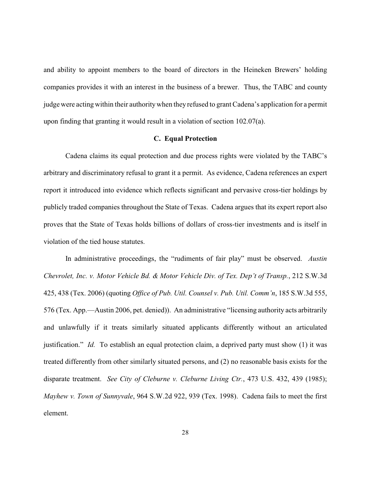and ability to appoint members to the board of directors in the Heineken Brewers' holding companies provides it with an interest in the business of a brewer. Thus, the TABC and county judge were acting within their authoritywhen they refused to grant Cadena's application for a permit upon finding that granting it would result in a violation of section 102.07(a).

## **C. Equal Protection**

Cadena claims its equal protection and due process rights were violated by the TABC's arbitrary and discriminatory refusal to grant it a permit. As evidence, Cadena references an expert report it introduced into evidence which reflects significant and pervasive cross-tier holdings by publicly traded companies throughout the State of Texas. Cadena argues that its expert report also proves that the State of Texas holds billions of dollars of cross-tier investments and is itself in violation of the tied house statutes.

In administrative proceedings, the "rudiments of fair play" must be observed. *Austin Chevrolet, Inc. v. Motor Vehicle Bd. & Motor Vehicle Div. of Tex. Dep't of Transp.*, 212 S.W.3d 425, 438 (Tex. 2006) (quoting *Office of Pub. Util. Counsel v. Pub. Util. Comm'n*, 185 S.W.3d 555, 576 (Tex. App.—Austin 2006, pet. denied)). An administrative "licensing authority acts arbitrarily and unlawfully if it treats similarly situated applicants differently without an articulated justification." *Id.* To establish an equal protection claim, a deprived party must show (1) it was treated differently from other similarly situated persons, and (2) no reasonable basis exists for the disparate treatment. *See City of Cleburne v. Cleburne Living Ctr.*, 473 U.S. 432, 439 (1985); *Mayhew v. Town of Sunnyvale*, 964 S.W.2d 922, 939 (Tex. 1998). Cadena fails to meet the first element.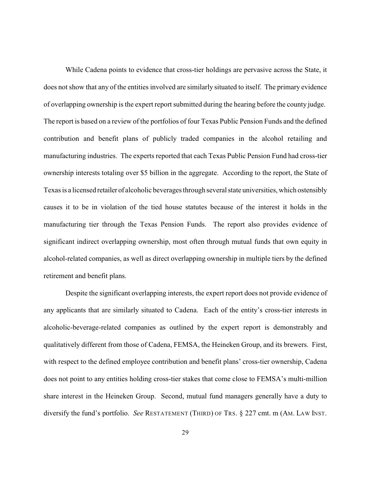While Cadena points to evidence that cross-tier holdings are pervasive across the State, it does not show that any of the entities involved are similarly situated to itself. The primary evidence of overlapping ownership is the expert report submitted during the hearing before the county judge. The report is based on a review of the portfolios of four Texas Public Pension Funds and the defined contribution and benefit plans of publicly traded companies in the alcohol retailing and manufacturing industries. The experts reported that each Texas Public Pension Fund had cross-tier ownership interests totaling over \$5 billion in the aggregate. According to the report, the State of Texas is a licensed retailer of alcoholic beverages through several state universities, which ostensibly causes it to be in violation of the tied house statutes because of the interest it holds in the manufacturing tier through the Texas Pension Funds. The report also provides evidence of significant indirect overlapping ownership, most often through mutual funds that own equity in alcohol-related companies, as well as direct overlapping ownership in multiple tiers by the defined retirement and benefit plans.

Despite the significant overlapping interests, the expert report does not provide evidence of any applicants that are similarly situated to Cadena. Each of the entity's cross-tier interests in alcoholic-beverage-related companies as outlined by the expert report is demonstrably and qualitatively different from those of Cadena, FEMSA, the Heineken Group, and its brewers. First, with respect to the defined employee contribution and benefit plans' cross-tier ownership, Cadena does not point to any entities holding cross-tier stakes that come close to FEMSA's multi-million share interest in the Heineken Group. Second, mutual fund managers generally have a duty to diversify the fund's portfolio. *See* RESTATEMENT (THIRD) OF TRS. § 227 cmt. m (AM. LAW INST.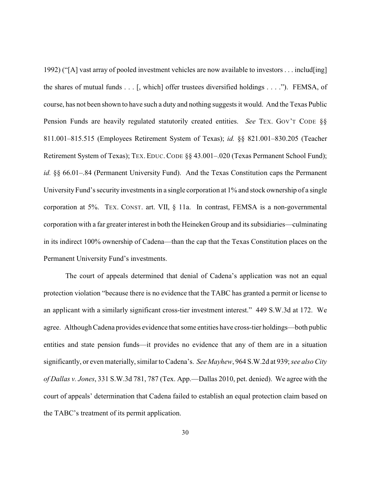1992) ("[A] vast array of pooled investment vehicles are now available to investors . . . includ[ing] the shares of mutual funds . . . [, which] offer trustees diversified holdings . . . ."). FEMSA, of course, has not been shown to have such a duty and nothing suggests it would. And the Texas Public Pension Funds are heavily regulated statutorily created entities. *See* TEX. GOV'T CODE §§ 811.001–815.515 (Employees Retirement System of Texas); *id.* §§ 821.001–830.205 (Teacher Retirement System of Texas); TEX. EDUC. CODE §§ 43.001-.020 (Texas Permanent School Fund); *id.* §§ 66.01–.84 (Permanent University Fund). And the Texas Constitution caps the Permanent University Fund's security investments in a single corporation at 1% and stock ownership of a single corporation at 5%. TEX. CONST. art. VII, § 11a. In contrast, FEMSA is a non-governmental corporation with a far greater interest in both the Heineken Group and its subsidiaries—culminating in its indirect 100% ownership of Cadena—than the cap that the Texas Constitution places on the Permanent University Fund's investments.

The court of appeals determined that denial of Cadena's application was not an equal protection violation "because there is no evidence that the TABC has granted a permit or license to an applicant with a similarly significant cross-tier investment interest." 449 S.W.3d at 172. We agree. Although Cadena provides evidence that some entities have cross-tier holdings—both public entities and state pension funds—it provides no evidence that any of them are in a situation significantly, or even materially, similar to Cadena's. *See Mayhew*, 964 S.W.2d at 939; *see also City of Dallas v. Jones*, 331 S.W.3d 781, 787 (Tex. App.—Dallas 2010, pet. denied). We agree with the court of appeals' determination that Cadena failed to establish an equal protection claim based on the TABC's treatment of its permit application.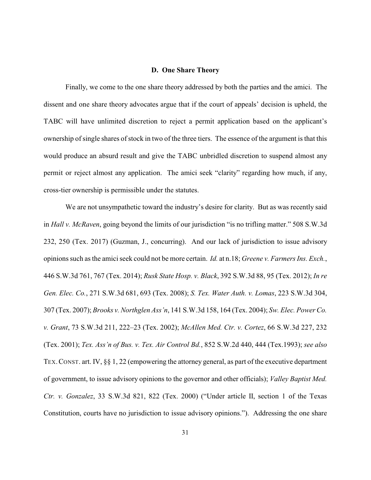#### **D. One Share Theory**

Finally, we come to the one share theory addressed by both the parties and the amici. The dissent and one share theory advocates argue that if the court of appeals' decision is upheld, the TABC will have unlimited discretion to reject a permit application based on the applicant's ownership of single shares of stock in two of the three tiers. The essence of the argument is that this would produce an absurd result and give the TABC unbridled discretion to suspend almost any permit or reject almost any application. The amici seek "clarity" regarding how much, if any, cross-tier ownership is permissible under the statutes.

We are not unsympathetic toward the industry's desire for clarity. But as was recently said in *Hall v. McRaven*, going beyond the limits of our jurisdiction "is no trifling matter." 508 S.W.3d 232, 250 (Tex. 2017) (Guzman, J., concurring). And our lack of jurisdiction to issue advisory opinions such as the amici seek could not be more certain. *Id.* at n.18; *Greene v. Farmers Ins. Exch.*, 446 S.W.3d 761, 767 (Tex. 2014); *Rusk State Hosp. v. Black*, 392 S.W.3d 88, 95 (Tex. 2012); *In re Gen. Elec. Co.*, 271 S.W.3d 681, 693 (Tex. 2008); *S. Tex. Water Auth. v. Lomas*, 223 S.W.3d 304, 307 (Tex. 2007); *Brooks v. Northglen Ass'n*, 141 S.W.3d 158, 164 (Tex. 2004); *Sw. Elec. Power Co. v. Grant*, 73 S.W.3d 211, 222–23 (Tex. 2002); *McAllen Med. Ctr. v. Cortez*, 66 S.W.3d 227, 232 (Tex. 2001); *Tex. Ass'n of Bus. v. Tex. Air Control Bd.*, 852 S.W.2d 440, 444 (Tex.1993); *see also* TEX.CONST. art. IV, §§ 1, 22 (empowering the attorney general, as part of the executive department of government, to issue advisory opinions to the governor and other officials); *Valley Baptist Med. Ctr. v. Gonzalez*, 33 S.W.3d 821, 822 (Tex. 2000) ("Under article II, section 1 of the Texas Constitution, courts have no jurisdiction to issue advisory opinions."). Addressing the one share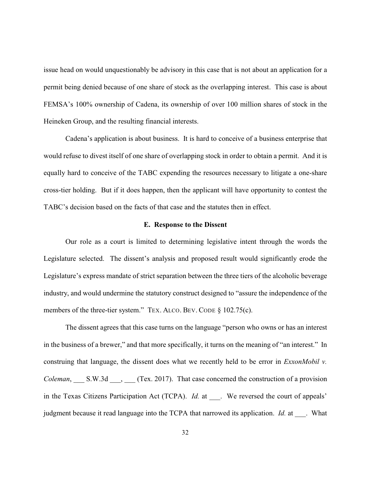issue head on would unquestionably be advisory in this case that is not about an application for a permit being denied because of one share of stock as the overlapping interest. This case is about FEMSA's 100% ownership of Cadena, its ownership of over 100 million shares of stock in the Heineken Group, and the resulting financial interests.

Cadena's application is about business. It is hard to conceive of a business enterprise that would refuse to divest itself of one share of overlapping stock in order to obtain a permit. And it is equally hard to conceive of the TABC expending the resources necessary to litigate a one-share cross-tier holding. But if it does happen, then the applicant will have opportunity to contest the TABC's decision based on the facts of that case and the statutes then in effect.

#### **E. Response to the Dissent**

Our role as a court is limited to determining legislative intent through the words the Legislature selected. The dissent's analysis and proposed result would significantly erode the Legislature's express mandate of strict separation between the three tiers of the alcoholic beverage industry, and would undermine the statutory construct designed to "assure the independence of the members of the three-tier system." TEX. ALCO. BEV. CODE § 102.75(c).

The dissent agrees that this case turns on the language "person who owns or has an interest in the business of a brewer," and that more specifically, it turns on the meaning of "an interest." In construing that language, the dissent does what we recently held to be error in *ExxonMobil v. Coleman*, \_\_\_ S.W.3d \_\_\_, \_\_\_ (Tex. 2017). That case concerned the construction of a provision in the Texas Citizens Participation Act (TCPA). *Id.* at . We reversed the court of appeals' judgment because it read language into the TCPA that narrowed its application. *Id.* at . What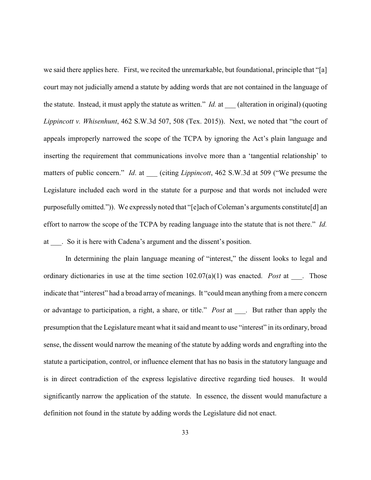we said there applies here. First, we recited the unremarkable, but foundational, principle that "[a] court may not judicially amend a statute by adding words that are not contained in the language of the statute. Instead, it must apply the statute as written." *Id.* at (alteration in original) (quoting *Lippincott v. Whisenhunt*, 462 S.W.3d 507, 508 (Tex. 2015)). Next, we noted that "the court of appeals improperly narrowed the scope of the TCPA by ignoring the Act's plain language and inserting the requirement that communications involve more than a 'tangential relationship' to matters of public concern." *Id.* at (citing *Lippincott*, 462 S.W.3d at 509 ("We presume the Legislature included each word in the statute for a purpose and that words not included were purposefully omitted.")). We expressly noted that "[e]ach of Coleman's arguments constitute[d] an effort to narrow the scope of the TCPA by reading language into the statute that is not there." *Id.* at \_\_\_. So it is here with Cadena's argument and the dissent's position.

In determining the plain language meaning of "interest," the dissent looks to legal and ordinary dictionaries in use at the time section 102.07(a)(1) was enacted. *Post* at \_\_\_. Those indicate that "interest" had a broad array of meanings. It "could mean anything from a mere concern or advantage to participation, a right, a share, or title." *Post* at \_\_\_. But rather than apply the presumption that the Legislature meant what it said and meant to use "interest" in its ordinary, broad sense, the dissent would narrow the meaning of the statute by adding words and engrafting into the statute a participation, control, or influence element that has no basis in the statutory language and is in direct contradiction of the express legislative directive regarding tied houses. It would significantly narrow the application of the statute. In essence, the dissent would manufacture a definition not found in the statute by adding words the Legislature did not enact.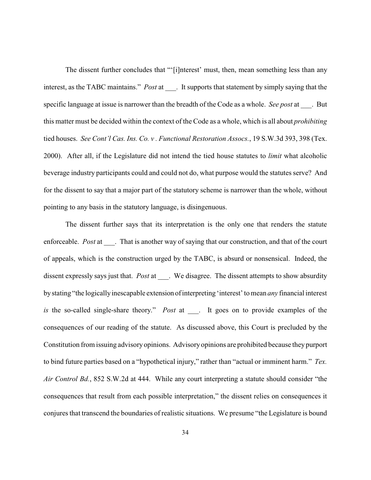The dissent further concludes that "'[i]nterest' must, then, mean something less than any interest, as the TABC maintains." *Post* at \_\_\_\_. It supports that statement by simply saying that the specific language at issue is narrower than the breadth of the Code as a whole. *See post* at \_\_\_. But this matter must be decided within the context of the Code as a whole, which is all about *prohibiting* tied houses. *See Cont'l Cas. Ins. Co. v . Functional Restoration Assocs.*, 19 S.W.3d 393, 398 (Tex. 2000). After all, if the Legislature did not intend the tied house statutes to *limit* what alcoholic beverage industry participants could and could not do, what purpose would the statutes serve? And for the dissent to say that a major part of the statutory scheme is narrower than the whole, without pointing to any basis in the statutory language, is disingenuous.

The dissent further says that its interpretation is the only one that renders the statute enforceable. *Post* at Fhat is another way of saying that our construction, and that of the court of appeals, which is the construction urged by the TABC, is absurd or nonsensical. Indeed, the dissent expressly says just that. *Post* at \_\_\_. We disagree. The dissent attempts to show absurdity bystating "the logicallyinescapable extension ofinterpreting 'interest' to mean *any* financial interest *is* the so-called single-share theory." *Post* at . It goes on to provide examples of the consequences of our reading of the statute. As discussed above, this Court is precluded by the Constitution from issuing advisory opinions. Advisory opinions are prohibited because they purport to bind future parties based on a "hypothetical injury," rather than "actual or imminent harm." *Tex. Air Control Bd.*, 852 S.W.2d at 444. While any court interpreting a statute should consider "the consequences that result from each possible interpretation," the dissent relies on consequences it conjures that transcend the boundaries of realistic situations. We presume "the Legislature is bound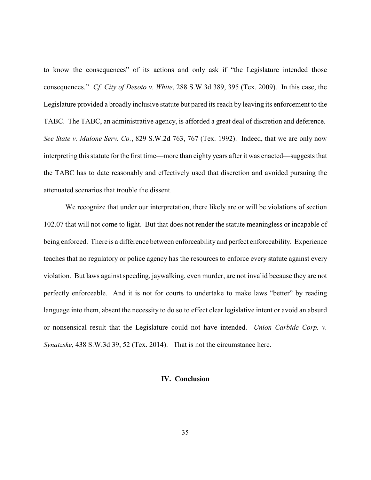to know the consequences" of its actions and only ask if "the Legislature intended those consequences." *Cf. City of Desoto v. White*, 288 S.W.3d 389, 395 (Tex. 2009). In this case, the Legislature provided a broadly inclusive statute but pared its reach by leaving its enforcement to the TABC. The TABC, an administrative agency, is afforded a great deal of discretion and deference. *See State v. Malone Serv. Co.*, 829 S.W.2d 763, 767 (Tex. 1992). Indeed, that we are only now interpreting this statute for the first time—more than eighty years after it was enacted—suggests that the TABC has to date reasonably and effectively used that discretion and avoided pursuing the attenuated scenarios that trouble the dissent.

We recognize that under our interpretation, there likely are or will be violations of section 102.07 that will not come to light. But that does not render the statute meaningless or incapable of being enforced. There is a difference between enforceability and perfect enforceability. Experience teaches that no regulatory or police agency has the resources to enforce every statute against every violation. But laws against speeding, jaywalking, even murder, are not invalid because they are not perfectly enforceable. And it is not for courts to undertake to make laws "better" by reading language into them, absent the necessity to do so to effect clear legislative intent or avoid an absurd or nonsensical result that the Legislature could not have intended. *Union Carbide Corp. v. Synatzske*, 438 S.W.3d 39, 52 (Tex. 2014). That is not the circumstance here.

## **IV. Conclusion**